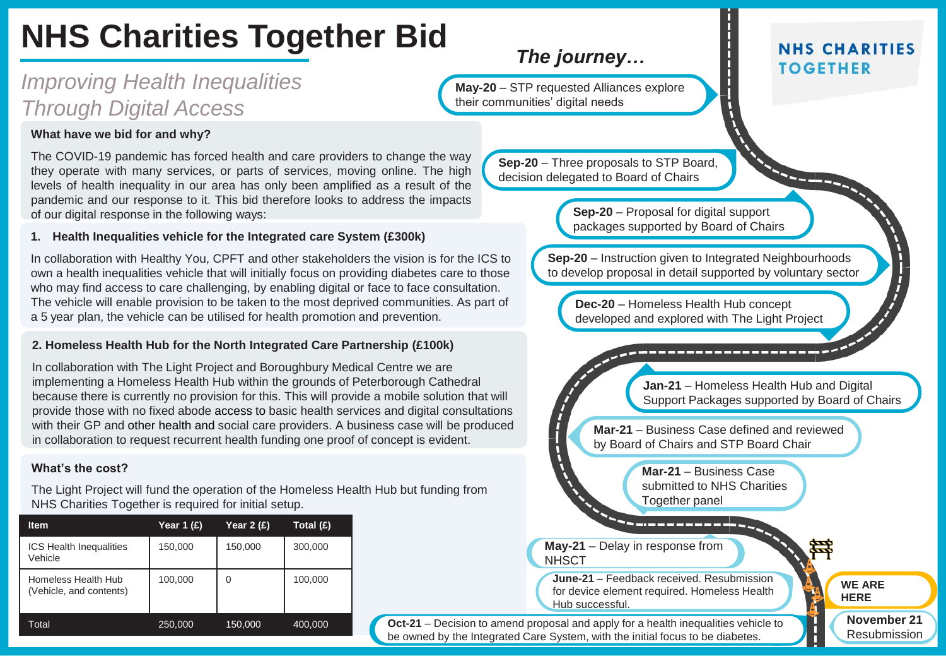# **NHS Charities Together Bid**

# *Improving Health Inequalities Through Digital Access*

#### **What have we bid for and why?**

The COVID-19 pandemic has forced health and care providers to change the way they operate with many services, or parts of services, moving online. The high levels of health inequality in our area has only been amplified as a result of the pandemic and our response to it. This bid therefore looks to address the impacts of our digital response in the following ways:

#### **1. Health Inequalities vehicle for the Integrated care System (£300k)**

In collaboration with Healthy You, CPFT and other stakeholders the vision is for the ICS to own a health inequalities vehicle that will initially focus on providing diabetes care to those who may find access to care challenging, by enabling digital or face to face consultation. The vehicle will enable provision to be taken to the most deprived communities. As part of a 5 year plan, the vehicle can be utilised for health promotion and prevention.

#### **2. Homeless Health Hub for the North Integrated Care Partnership (£100k)**

In collaboration with The Light Project and Boroughbury Medical Centre we are implementing a Homeless Health Hub within the grounds of Peterborough Cathedral because there is currently no provision for this. This will provide a mobile solution that will provide those with no fixed abode access to basic health services and digital consultations with their GP and other health and social care providers. A business case will be produced in collaboration to request recurrent health funding one proof of concept is evident.

#### **What's the cost?**

The Light Project will fund the operation of the Homeless Health Hub but funding from NHS Charities Together is required for initial setup.

| <b>Item</b>                                    | Year 1 (£) | Year $2(f)$ | Total (£) |
|------------------------------------------------|------------|-------------|-----------|
| <b>ICS Health Inequalities</b><br>Vehicle      | 150,000    | 150,000     | 300,000   |
| Homeless Health Hub<br>(Vehicle, and contents) | 100,000    | 0           | 100,000   |
| Total                                          | 250,000    | 150,000     | 400,000   |
|                                                |            |             |           |

## *The journey…*

**May-20** – STP requested Alliances explore their communities' digital needs

> **Sep-20** – Three proposals to STP Board, decision delegated to Board of Chairs

> > **Sep-20** – Proposal for digital support packages supported by Board of Chairs

**Sep-20** – Instruction given to Integrated Neighbourhoods to develop proposal in detail supported by voluntary sector

**Dec-20** – Homeless Health Hub concept developed and explored with The Light Project

**Jan-21** – Homeless Health Hub and Digital Support Packages supported by Board of Chairs

**Mar-21** – Business Case defined and reviewed by Board of Chairs and STP Board Chair

> **Mar-21** – Business Case submitted to NHS Charities Together panel

**May-21** – Delay in response from **NHSCT** 

**June-21** – Feedback received. Resubmission for device element required. Homeless Health Hub successful.

**Oct-21** – Decision to amend proposal and apply for a health inequalities vehicle to be owned by the Integrated Care System, with the initial focus to be diabetes.

### **NHS CHARITIES TOGETHER**

**WE ARE HERE**

> **November 21** Resubmission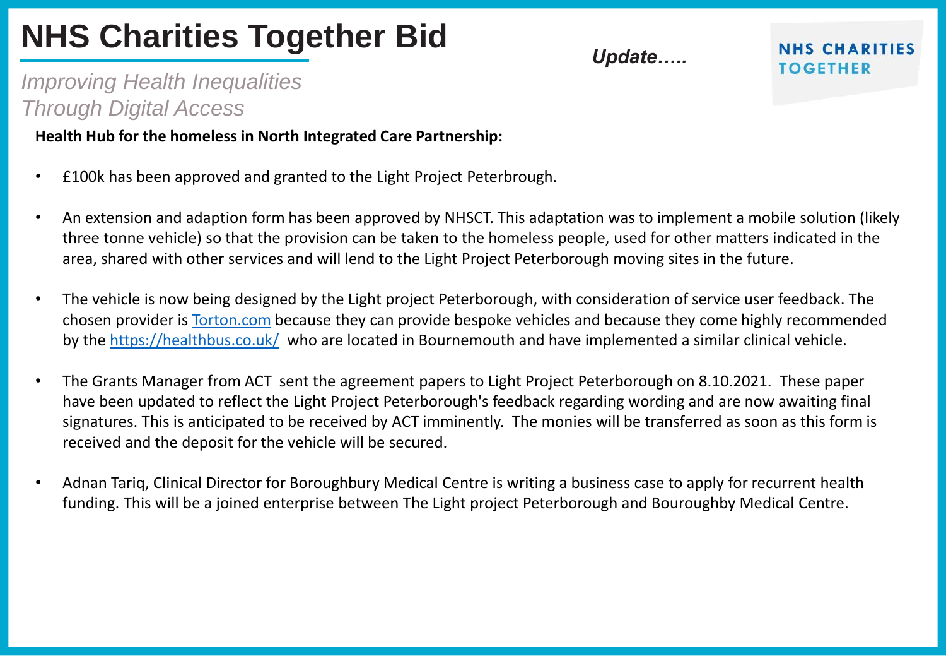# **NHS Charities Together Bid**

*Update…..*

**NHS CHARITIES TOGETHER** 

# *Improving Health Inequalities Through Digital Access*

### **Health Hub for the homeless in North Integrated Care Partnership:**

- £100k has been approved and granted to the Light Project Peterbrough.
- An extension and adaption form has been approved by NHSCT. This adaptation was to implement a mobile solution (likely three tonne vehicle) so that the provision can be taken to the homeless people, used for other matters indicated in the area, shared with other services and will lend to the Light Project Peterborough moving sites in the future.
- The vehicle is now being designed by the Light project Peterborough, with consideration of service user feedback. The chosen provider is [Torton.com](https://www.torton.com/products) because they can provide bespoke vehicles and because they come highly recommended by the <https://healthbus.co.uk/> who are located in Bournemouth and have implemented a similar clinical vehicle.
- The Grants Manager from ACT sent the agreement papers to Light Project Peterborough on 8.10.2021. These paper have been updated to reflect the Light Project Peterborough's feedback regarding wording and are now awaiting final signatures. This is anticipated to be received by ACT imminently. The monies will be transferred as soon as this form is received and the deposit for the vehicle will be secured.
- Adnan Tariq, Clinical Director for Boroughbury Medical Centre is writing a business case to apply for recurrent health funding. This will be a joined enterprise between The Light project Peterborough and Bouroughby Medical Centre.